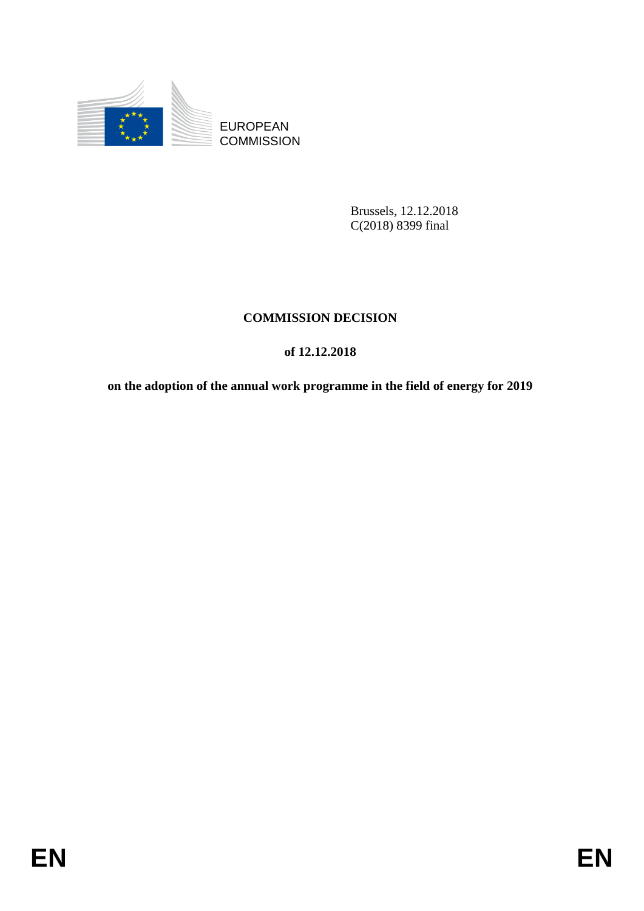

**COMMISSION** 

Brussels, 12.12.2018 C(2018) 8399 final

# **COMMISSION DECISION**

# **of 12.12.2018**

EUROPEAN<br>
EUROPEAN<br>
ENSISSION<br>
BRISSIS. 12.12.2018<br>
COMMISSION DECISION<br>
ON EXECUTION<br>
OF 12.12.2018<br>
ON the adoption of the annual work programme in the field of energy for 2019<br>
FIN **on the adoption of the annual work programme in the field of energy for 2019**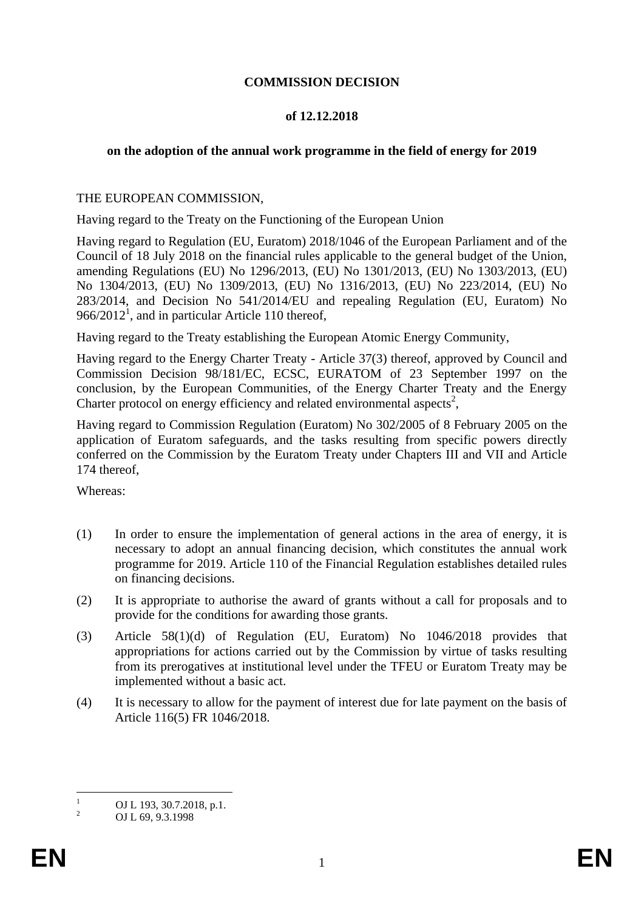# **COMMISSION DECISION**

## **of 12.12.2018**

# **on the adoption of the annual work programme in the field of energy for 2019**

### THE EUROPEAN COMMISSION,

Having regard to the Treaty on the Functioning of the European Union

Having regard to Regulation (EU, Euratom) 2018/1046 of the European Parliament and of the Council of 18 July 2018 on the financial rules applicable to the general budget of the Union, amending Regulations (EU) No 1296/2013, (EU) No 1301/2013, (EU) No 1303/2013, (EU) No 1304/2013, (EU) No 1309/2013, (EU) No 1316/2013, (EU) No 223/2014, (EU) No 283/2014, and Decision No 541/2014/EU and repealing Regulation (EU, Euratom) No  $966/2012<sup>1</sup>$ , and in particular Article 110 thereof,

Having regard to the Treaty establishing the European Atomic Energy Community,

Having regard to the Energy Charter Treaty - Article 37(3) thereof, approved by Council and Commission Decision 98/181/EC, ECSC, EURATOM of 23 September 1997 on the conclusion, by the European Communities, of the Energy Charter Treaty and the Energy Charter protocol on energy efficiency and related environmental aspects<sup>2</sup>,

Having regard to Commission Regulation (Euratom) No 302/2005 of 8 February 2005 on the application of Euratom safeguards, and the tasks resulting from specific powers directly conferred on the Commission by the Euratom Treaty under Chapters III and VII and Article 174 thereof,

Whereas:

- (1) In order to ensure the implementation of general actions in the area of energy, it is necessary to adopt an annual financing decision, which constitutes the annual work programme for 2019. Article 110 of the Financial Regulation establishes detailed rules on financing decisions.
- (2) It is appropriate to authorise the award of grants without a call for proposals and to provide for the conditions for awarding those grants.
- (3) Article 58(1)(d) of Regulation (EU, Euratom) No 1046/2018 provides that appropriations for actions carried out by the Commission by virtue of tasks resulting from its prerogatives at institutional level under the TFEU or Euratom Treaty may be implemented without a basic act.
- (4) It is necessary to allow for the payment of interest due for late payment on the basis of Article 116(5) FR 1046/2018.

 $\mathbf{1}$  $\frac{1}{2}$  OJ L 193, 30.7.2018, p.1.

<sup>2</sup> OJ L 69, 9.3.1998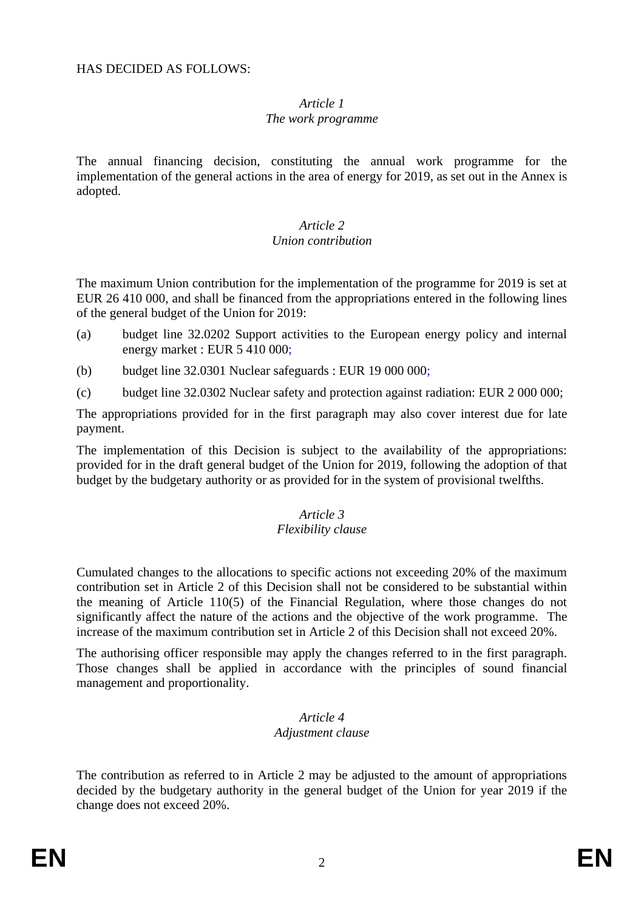#### *Article 1 The work programme*

The annual financing decision, constituting the annual work programme for the implementation of the general actions in the area of energy for 2019, as set out in the Annex is adopted.

### *Article 2 Union contribution*

The maximum Union contribution for the implementation of the programme for 2019 is set at EUR 26 410 000, and shall be financed from the appropriations entered in the following lines of the general budget of the Union for 2019:

- (a) budget line 32.0202 Support activities to the European energy policy and internal energy market : EUR 5 410 000;
- (b) budget line 32.0301 Nuclear safeguards : EUR 19 000 000;
- (c) budget line 32.0302 Nuclear safety and protection against radiation: EUR 2 000 000;

The appropriations provided for in the first paragraph may also cover interest due for late payment.

The implementation of this Decision is subject to the availability of the appropriations: provided for in the draft general budget of the Union for 2019, following the adoption of that budget by the budgetary authority or as provided for in the system of provisional twelfths.

#### *Article 3 Flexibility clause*

Cumulated changes to the allocations to specific actions not exceeding 20% of the maximum contribution set in Article 2 of this Decision shall not be considered to be substantial within the meaning of Article 110(5) of the Financial Regulation, where those changes do not significantly affect the nature of the actions and the objective of the work programme. The increase of the maximum contribution set in Article 2 of this Decision shall not exceed 20%.

The authorising officer responsible may apply the changes referred to in the first paragraph. Those changes shall be applied in accordance with the principles of sound financial management and proportionality.

### *Article 4 Adjustment clause*

The contribution as referred to in Article 2 may be adjusted to the amount of appropriations decided by the budgetary authority in the general budget of the Union for year 2019 if the change does not exceed 20%.